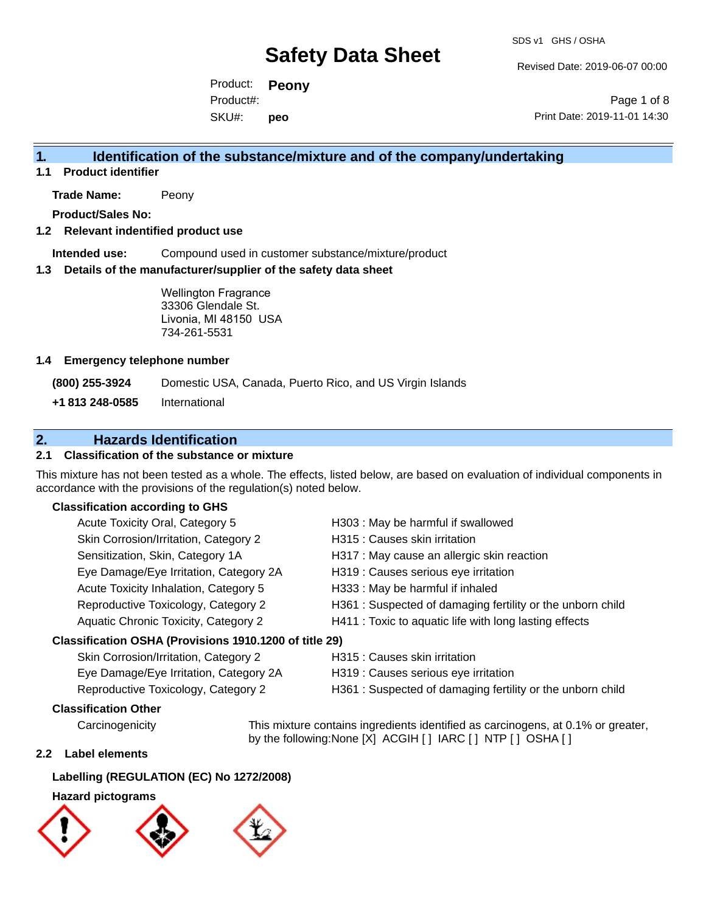Revised Date: 2019-06-07 00:00

Product: **Peony** SKU#: Product#: **peo**

Page 1 of 8 Print Date: 2019-11-01 14:30

## **1. Identification of the substance/mixture and of the company/undertaking**

**1.1 Product identifier**

**Trade Name:** Peony

**Product/Sales No:**

## **1.2 Relevant indentified product use**

**Intended use:** Compound used in customer substance/mixture/product

#### **1.3 Details of the manufacturer/supplier of the safety data sheet**

Wellington Fragrance 33306 Glendale St. Livonia, MI 48150 USA 734-261-5531

#### **1.4 Emergency telephone number**

**(800) 255-3924** Domestic USA, Canada, Puerto Rico, and US Virgin Islands

**+1 813 248-0585** International

## **2. Hazards Identification**

## **2.1 Classification of the substance or mixture**

This mixture has not been tested as a whole. The effects, listed below, are based on evaluation of individual components in accordance with the provisions of the regulation(s) noted below.

### **Classification according to GHS**

| Acute Toxicity Oral, Category 5                      | H303 : May be harmful if swallowed                        |
|------------------------------------------------------|-----------------------------------------------------------|
| Skin Corrosion/Irritation, Category 2                | H315 : Causes skin irritation                             |
| Sensitization, Skin, Category 1A                     | H317 : May cause an allergic skin reaction                |
| Eye Damage/Eye Irritation, Category 2A               | H319 : Causes serious eye irritation                      |
| Acute Toxicity Inhalation, Category 5                | H333: May be harmful if inhaled                           |
| Reproductive Toxicology, Category 2                  | H361: Suspected of damaging fertility or the unborn child |
| Aquatic Chronic Toxicity, Category 2                 | H411 : Toxic to aquatic life with long lasting effects    |
| issification OSHA (Provisions 1910 1200 of title 29) |                                                           |

## **Classification OSHA (Provisions 1910.1200 of title 29)**

| Skin Corrosion/Irritation, Category 2  | H315 : Causes skin irritation                             |
|----------------------------------------|-----------------------------------------------------------|
| Eye Damage/Eye Irritation, Category 2A | H319 : Causes serious eye irritation                      |
| Reproductive Toxicology, Category 2    | H361: Suspected of damaging fertility or the unborn child |

### **Classification Other**

Carcinogenicity This mixture contains ingredients identified as carcinogens, at 0.1% or greater, by the following:None [X] ACGIH [ ] IARC [ ] NTP [ ] OSHA [ ]

### **2.2 Label elements**

### **Labelling (REGULATION (EC) No 1272/2008)**

### **Hazard pictograms**

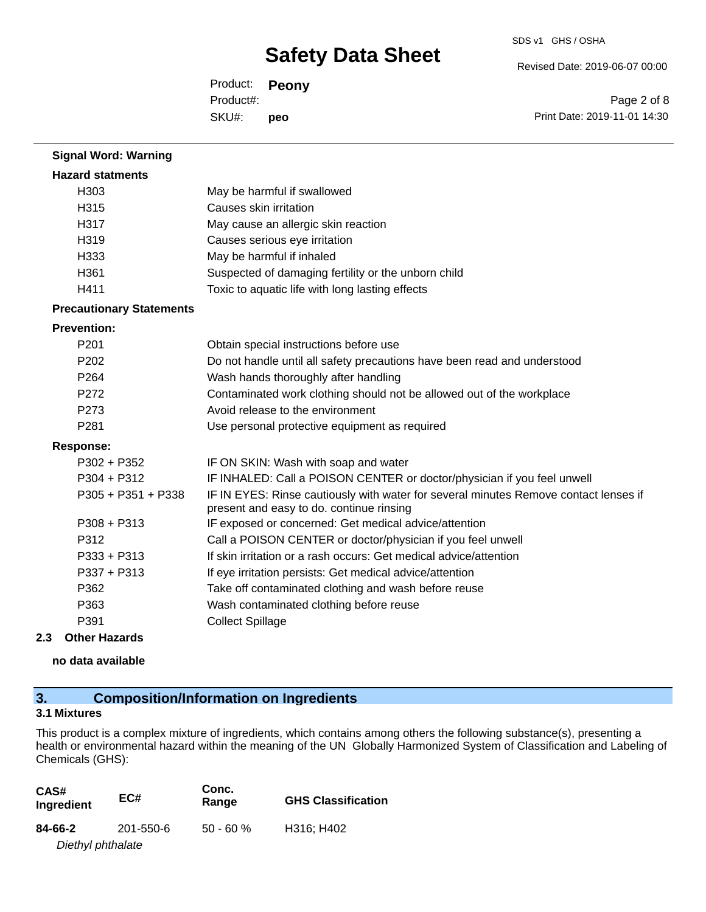Revised Date: 2019-06-07 00:00

Product: **Peony** SKU#: Product#: **peo**

Page 2 of 8 Print Date: 2019-11-01 14:30

| <b>Signal Word: Warning</b>     |                                                                                                                                  |
|---------------------------------|----------------------------------------------------------------------------------------------------------------------------------|
| <b>Hazard statments</b>         |                                                                                                                                  |
| H303                            | May be harmful if swallowed                                                                                                      |
| H315                            | Causes skin irritation                                                                                                           |
| H317                            | May cause an allergic skin reaction                                                                                              |
| H319                            | Causes serious eye irritation                                                                                                    |
| H333                            | May be harmful if inhaled                                                                                                        |
| H361                            | Suspected of damaging fertility or the unborn child                                                                              |
| H411                            | Toxic to aquatic life with long lasting effects                                                                                  |
| <b>Precautionary Statements</b> |                                                                                                                                  |
| <b>Prevention:</b>              |                                                                                                                                  |
| P201                            | Obtain special instructions before use                                                                                           |
| P <sub>202</sub>                | Do not handle until all safety precautions have been read and understood                                                         |
| P264                            | Wash hands thoroughly after handling                                                                                             |
| P272                            | Contaminated work clothing should not be allowed out of the workplace                                                            |
| P273                            | Avoid release to the environment                                                                                                 |
| P281                            | Use personal protective equipment as required                                                                                    |
| <b>Response:</b>                |                                                                                                                                  |
| $P302 + P352$                   | IF ON SKIN: Wash with soap and water                                                                                             |
| $P304 + P312$                   | IF INHALED: Call a POISON CENTER or doctor/physician if you feel unwell                                                          |
| P305 + P351 + P338              | IF IN EYES: Rinse cautiously with water for several minutes Remove contact lenses if<br>present and easy to do. continue rinsing |
| $P308 + P313$                   | IF exposed or concerned: Get medical advice/attention                                                                            |
| P312                            | Call a POISON CENTER or doctor/physician if you feel unwell                                                                      |
| P333 + P313                     | If skin irritation or a rash occurs: Get medical advice/attention                                                                |
| P337 + P313                     | If eye irritation persists: Get medical advice/attention                                                                         |
| P362                            | Take off contaminated clothing and wash before reuse                                                                             |
| P363                            | Wash contaminated clothing before reuse                                                                                          |
| P391                            | <b>Collect Spillage</b>                                                                                                          |
| 2.3<br><b>Other Hazards</b>     |                                                                                                                                  |

**no data available**

## **3. Composition/Information on Ingredients**

## **3.1 Mixtures**

This product is a complex mixture of ingredients, which contains among others the following substance(s), presenting a health or environmental hazard within the meaning of the UN Globally Harmonized System of Classification and Labeling of Chemicals (GHS):

| CAS#<br>Ingredient | EC#       | Conc.<br>Range | <b>GHS Classification</b> |
|--------------------|-----------|----------------|---------------------------|
| 84-66-2            | 201-550-6 | $50 - 60 \%$   | H316; H402                |
| Diethyl phthalate  |           |                |                           |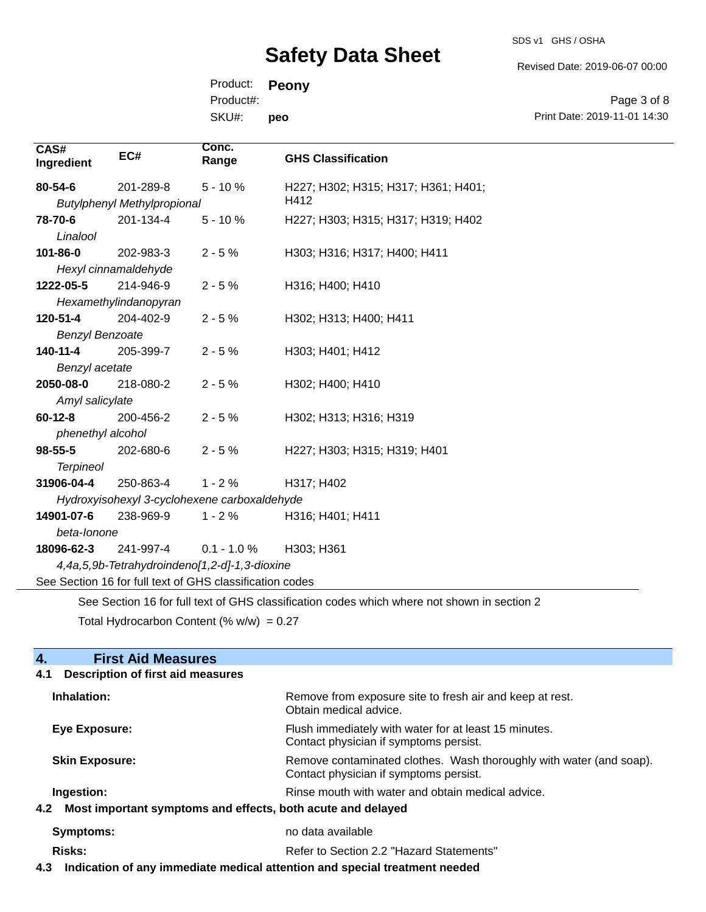SDS v1 GHS / OSHA

Revised Date: 2019-06-07 00:00

Product: **Peony** SKU#: Product#: **peo**

Page 3 of 8 Print Date: 2019-11-01 14:30

| CAS#<br>Ingredient     | EC#                                                      | Conc.<br>Range | <b>GHS Classification</b>                                                                   |
|------------------------|----------------------------------------------------------|----------------|---------------------------------------------------------------------------------------------|
| 80-54-6                | 201-289-8                                                | $5 - 10%$      | H227; H302; H315; H317; H361; H401;                                                         |
|                        | <b>Butylphenyl Methylpropional</b>                       |                | H412                                                                                        |
| 78-70-6                | 201-134-4                                                | $5 - 10%$      | H227; H303; H315; H317; H319; H402                                                          |
| Linalool               |                                                          |                |                                                                                             |
| $101 - 86 - 0$         | 202-983-3                                                | $2 - 5%$       | H303; H316; H317; H400; H411                                                                |
|                        | Hexyl cinnamaldehyde                                     |                |                                                                                             |
| 1222-05-5              | 214-946-9                                                | $2 - 5%$       | H316; H400; H410                                                                            |
|                        | Hexamethylindanopyran                                    |                |                                                                                             |
| 120-51-4               | 204-402-9                                                | $2 - 5%$       | H302; H313; H400; H411                                                                      |
| <b>Benzyl Benzoate</b> |                                                          |                |                                                                                             |
| 140-11-4               | 205-399-7                                                | $2 - 5%$       | H303; H401; H412                                                                            |
| Benzyl acetate         |                                                          |                |                                                                                             |
| 2050-08-0              | 218-080-2                                                | $2 - 5%$       | H302; H400; H410                                                                            |
| Amyl salicylate        |                                                          |                |                                                                                             |
| $60 - 12 - 8$          | 200-456-2                                                | $2 - 5%$       | H302; H313; H316; H319                                                                      |
| phenethyl alcohol      |                                                          |                |                                                                                             |
| $98 - 55 - 5$          | 202-680-6                                                | $2 - 5%$       | H227; H303; H315; H319; H401                                                                |
| <b>Terpineol</b>       |                                                          |                |                                                                                             |
| 31906-04-4             | 250-863-4                                                | $1 - 2%$       | H317; H402                                                                                  |
|                        | Hydroxyisohexyl 3-cyclohexene carboxaldehyde             |                |                                                                                             |
| 14901-07-6             | 238-969-9                                                | $1 - 2%$       | H316; H401; H411                                                                            |
| beta-lonone            |                                                          |                |                                                                                             |
| 18096-62-3             | 241-997-4                                                | $0.1 - 1.0 %$  | H303; H361                                                                                  |
|                        | 4,4a,5,9b-Tetrahydroindeno[1,2-d]-1,3-dioxine            |                |                                                                                             |
|                        | See Section 16 for full text of GHS classification codes |                |                                                                                             |
|                        |                                                          |                | See Section 16 for full text of GHS classification codes which where not shown in section 2 |

Total Hydrocarbon Content (%  $w/w$ ) = 0.27

## **4. First Aid Measures**

## **4.1 Description of first aid measures Inhalation:** Remove from exposure site to fresh air and keep at rest. Obtain medical advice. **Eye Exposure:** Flush immediately with water for at least 15 minutes. Contact physician if symptoms persist. **Skin Exposure: Remove contaminated clothes. Wash thoroughly with water (and soap).** Remove contaminated clothes. Wash thoroughly with water (and soap). Contact physician if symptoms persist. **Ingestion: Rinse mouth with water and obtain medical advice. Rinse mouth with water and obtain medical advice. 4.2 Most important symptoms and effects, both acute and delayed Symptoms:** no data available **Risks:** Risks: Refer to Section 2.2 "Hazard Statements"

**4.3 Indication of any immediate medical attention and special treatment needed**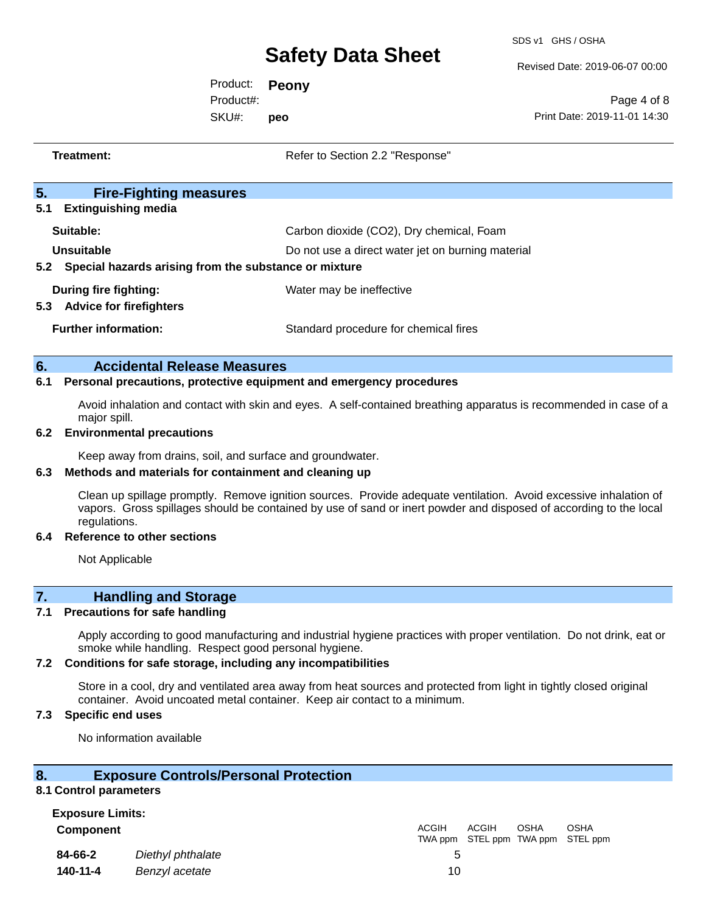SDS v1 GHS / OSHA

Revised Date: 2019-06-07 00:00

Product: **Peony** SKU#: Product#: **peo**

Page 4 of 8 Print Date: 2019-11-01 14:30

| Treatment:                                                                 | Refer to Section 2.2 "Response"                   |
|----------------------------------------------------------------------------|---------------------------------------------------|
| 5.<br><b>Fire-Fighting measures</b><br>5.1<br><b>Extinguishing media</b>   |                                                   |
| Suitable:                                                                  | Carbon dioxide (CO2), Dry chemical, Foam          |
| Unsuitable<br>Special hazards arising from the substance or mixture<br>5.2 | Do not use a direct water jet on burning material |
| During fire fighting:<br>5.3 Advice for firefighters                       | Water may be ineffective                          |
| <b>Further information:</b>                                                | Standard procedure for chemical fires             |
| 6.<br><b>Accidental Release Measures</b>                                   |                                                   |

#### **6.1 Personal precautions, protective equipment and emergency procedures**

Avoid inhalation and contact with skin and eyes. A self-contained breathing apparatus is recommended in case of a major spill.

#### **6.2 Environmental precautions**

Keep away from drains, soil, and surface and groundwater.

#### **6.3 Methods and materials for containment and cleaning up**

Clean up spillage promptly. Remove ignition sources. Provide adequate ventilation. Avoid excessive inhalation of vapors. Gross spillages should be contained by use of sand or inert powder and disposed of according to the local regulations.

#### **6.4 Reference to other sections**

Not Applicable

## **7. Handling and Storage**

### **7.1 Precautions for safe handling**

Apply according to good manufacturing and industrial hygiene practices with proper ventilation. Do not drink, eat or smoke while handling. Respect good personal hygiene.

#### **7.2 Conditions for safe storage, including any incompatibilities**

Store in a cool, dry and ventilated area away from heat sources and protected from light in tightly closed original container. Avoid uncoated metal container. Keep air contact to a minimum.

### **7.3 Specific end uses**

No information available

### **8. Exposure Controls/Personal Protection**

#### **8.1 Control parameters**

## **Exposure Limits:**

**Component** ACGIH

| 84-66-2<br>Diethyl phthalate |                |  |  |
|------------------------------|----------------|--|--|
| 140-11-4                     | Benzyl acetate |  |  |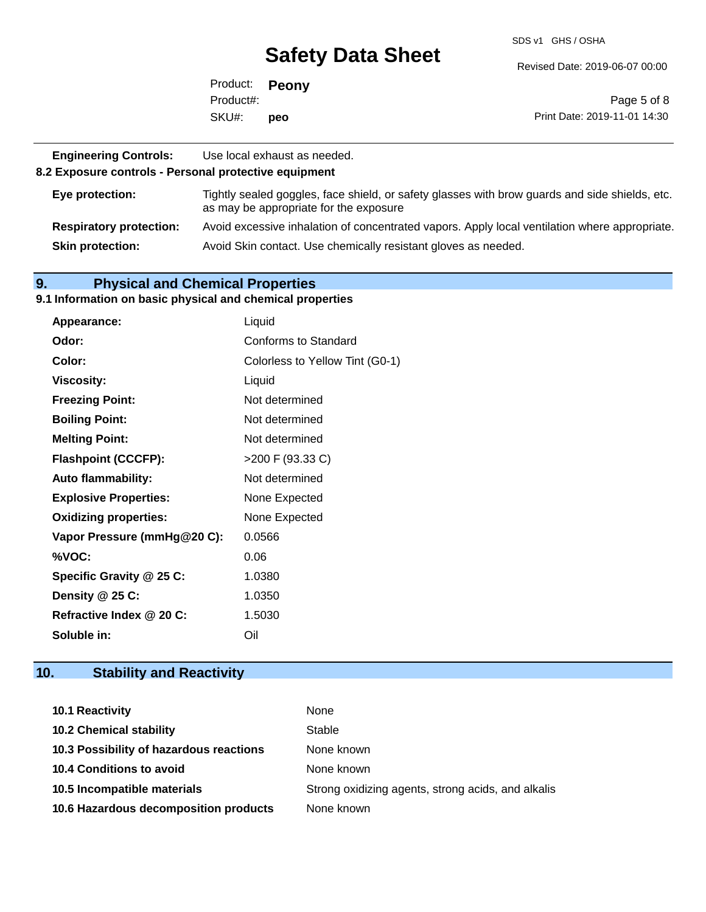SDS v1 GHS / OSHA

Revised Date: 2019-06-07 00:00

|           | Product: <b>Peony</b> |                              |
|-----------|-----------------------|------------------------------|
| Product#: |                       | Page 5 of 8                  |
| SKU#:     | peo                   | Print Date: 2019-11-01 14:30 |

| <b>Engineering Controls:</b><br>8.2 Exposure controls - Personal protective equipment | Use local exhaust as needed.                                                                                                             |
|---------------------------------------------------------------------------------------|------------------------------------------------------------------------------------------------------------------------------------------|
| Eye protection:                                                                       | Tightly sealed goggles, face shield, or safety glasses with brow guards and side shields, etc.<br>as may be appropriate for the exposure |
| <b>Respiratory protection:</b>                                                        | Avoid excessive inhalation of concentrated vapors. Apply local ventilation where appropriate.                                            |
| <b>Skin protection:</b>                                                               | Avoid Skin contact. Use chemically resistant gloves as needed.                                                                           |

## **9. Physical and Chemical Properties**

#### **9.1 Information on basic physical and chemical properties**

| Appearance:                  | Liquid                          |
|------------------------------|---------------------------------|
| Odor:                        | Conforms to Standard            |
| Color:                       | Colorless to Yellow Tint (G0-1) |
| <b>Viscosity:</b>            | Liquid                          |
| <b>Freezing Point:</b>       | Not determined                  |
| <b>Boiling Point:</b>        | Not determined                  |
| <b>Melting Point:</b>        | Not determined                  |
| <b>Flashpoint (CCCFP):</b>   | >200 F (93.33 C)                |
| <b>Auto flammability:</b>    | Not determined                  |
| <b>Explosive Properties:</b> | None Expected                   |
| <b>Oxidizing properties:</b> | None Expected                   |
| Vapor Pressure (mmHg@20 C):  | 0.0566                          |
| %VOC:                        | 0.06                            |
| Specific Gravity @ 25 C:     | 1.0380                          |
| Density @ 25 C:              | 1.0350                          |
| Refractive Index @ 20 C:     | 1.5030                          |
| Soluble in:                  | Oil                             |

## **10. Stability and Reactivity**

| <b>10.1 Reactivity</b>                  | None                                               |
|-----------------------------------------|----------------------------------------------------|
| <b>10.2 Chemical stability</b>          | Stable                                             |
| 10.3 Possibility of hazardous reactions | None known                                         |
| 10.4 Conditions to avoid                | None known                                         |
| 10.5 Incompatible materials             | Strong oxidizing agents, strong acids, and alkalis |
| 10.6 Hazardous decomposition products   | None known                                         |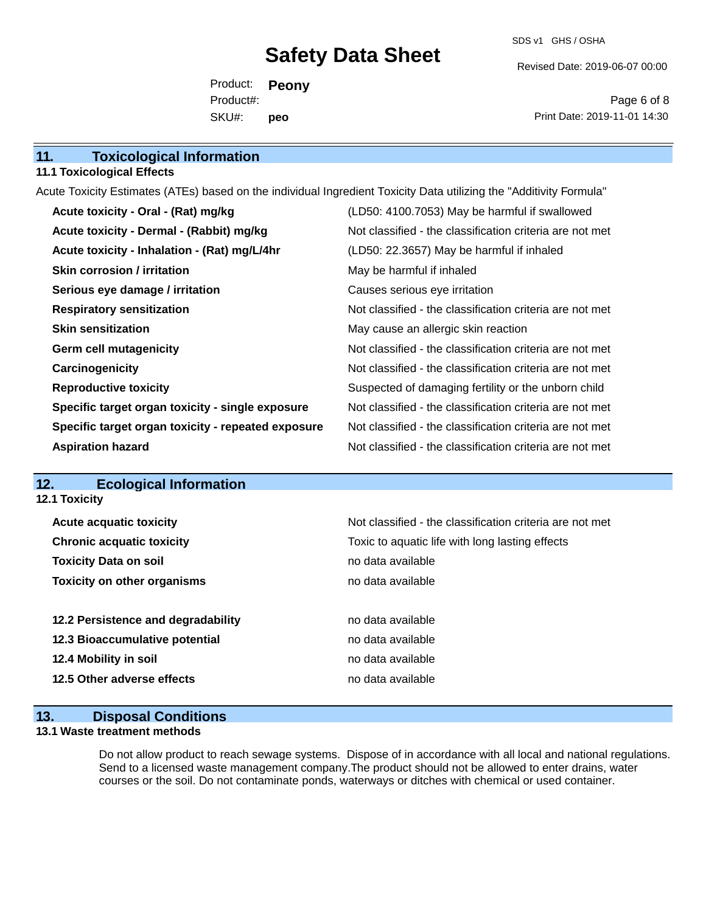SDS v1 GHS / OSHA

Revised Date: 2019-06-07 00:00

Product: **Peony** SKU#: Product#: **peo**

Page 6 of 8 Print Date: 2019-11-01 14:30

| 11. | <b>Toxicological Information</b> |  |
|-----|----------------------------------|--|
|-----|----------------------------------|--|

### **11.1 Toxicological Effects**

Acute Toxicity Estimates (ATEs) based on the individual Ingredient Toxicity Data utilizing the "Additivity Formula"

| Acute toxicity - Oral - (Rat) mg/kg                | (LD50: 4100.7053) May be harmful if swallowed            |
|----------------------------------------------------|----------------------------------------------------------|
| Acute toxicity - Dermal - (Rabbit) mg/kg           | Not classified - the classification criteria are not met |
| Acute toxicity - Inhalation - (Rat) mg/L/4hr       | (LD50: 22.3657) May be harmful if inhaled                |
| <b>Skin corrosion / irritation</b>                 | May be harmful if inhaled                                |
| Serious eye damage / irritation                    | Causes serious eye irritation                            |
| <b>Respiratory sensitization</b>                   | Not classified - the classification criteria are not met |
| <b>Skin sensitization</b>                          | May cause an allergic skin reaction                      |
| <b>Germ cell mutagenicity</b>                      | Not classified - the classification criteria are not met |
| Carcinogenicity                                    | Not classified - the classification criteria are not met |
| <b>Reproductive toxicity</b>                       | Suspected of damaging fertility or the unborn child      |
| Specific target organ toxicity - single exposure   | Not classified - the classification criteria are not met |
| Specific target organ toxicity - repeated exposure | Not classified - the classification criteria are not met |
| <b>Aspiration hazard</b>                           | Not classified - the classification criteria are not met |

## **12. Ecological Information**

| <b>12.1 Toxicity</b>               |                                                          |
|------------------------------------|----------------------------------------------------------|
| <b>Acute acquatic toxicity</b>     | Not classified - the classification criteria are not met |
| <b>Chronic acquatic toxicity</b>   | Toxic to aquatic life with long lasting effects          |
| <b>Toxicity Data on soil</b>       | no data available                                        |
| <b>Toxicity on other organisms</b> | no data available                                        |
|                                    |                                                          |
| 12.2 Persistence and degradability | no data available                                        |
| 12.3 Bioaccumulative potential     | no data available                                        |
| 12.4 Mobility in soil              | no data available                                        |
| 12.5 Other adverse effects         | no data available                                        |

## **13. Disposal Conditions**

### **13.1 Waste treatment methods**

Do not allow product to reach sewage systems. Dispose of in accordance with all local and national regulations. Send to a licensed waste management company.The product should not be allowed to enter drains, water courses or the soil. Do not contaminate ponds, waterways or ditches with chemical or used container.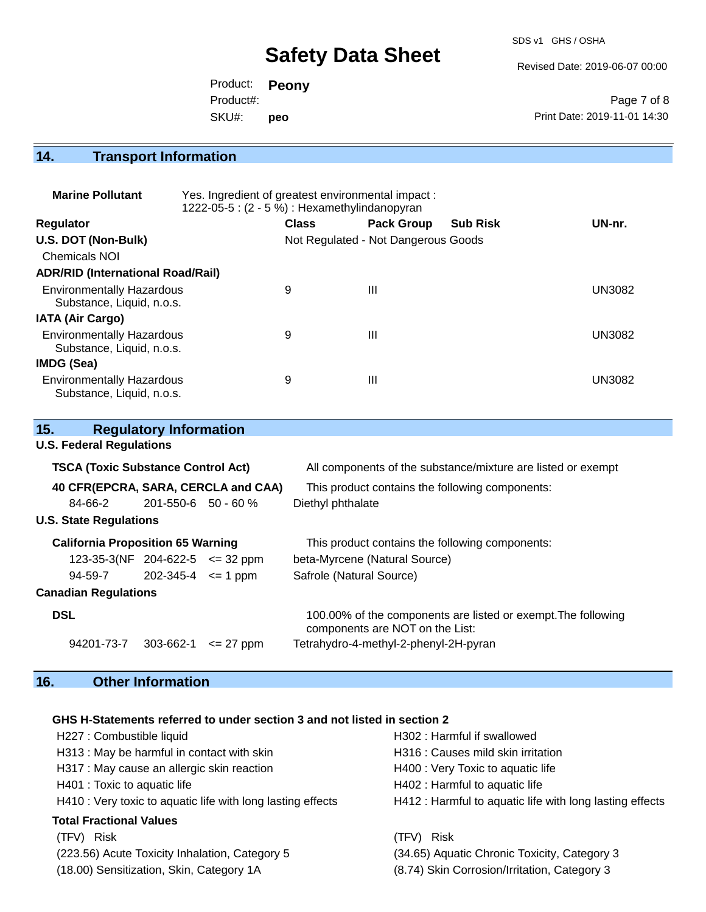SDS v1 GHS / OSHA

Revised Date: 2019-06-07 00:00

|           | Product: <b>Peony</b> |                              |
|-----------|-----------------------|------------------------------|
| Product#: |                       | Page 7 of 8                  |
| SKU#:     | peo                   | Print Date: 2019-11-01 14:30 |

## **14. Transport Information**

| <b>Marine Pollutant</b>                                       | Yes. Ingredient of greatest environmental impact:<br>1222-05-5: (2 - 5 %) : Hexamethylindanopyran |              |                                     |                 |               |
|---------------------------------------------------------------|---------------------------------------------------------------------------------------------------|--------------|-------------------------------------|-----------------|---------------|
| <b>Regulator</b>                                              |                                                                                                   | <b>Class</b> | <b>Pack Group</b>                   | <b>Sub Risk</b> | UN-nr.        |
| U.S. DOT (Non-Bulk)                                           |                                                                                                   |              | Not Regulated - Not Dangerous Goods |                 |               |
| <b>Chemicals NOI</b>                                          |                                                                                                   |              |                                     |                 |               |
| <b>ADR/RID (International Road/Rail)</b>                      |                                                                                                   |              |                                     |                 |               |
| <b>Environmentally Hazardous</b><br>Substance, Liquid, n.o.s. |                                                                                                   | 9            | Ш                                   |                 | <b>UN3082</b> |
| <b>IATA (Air Cargo)</b>                                       |                                                                                                   |              |                                     |                 |               |
| <b>Environmentally Hazardous</b><br>Substance, Liquid, n.o.s. |                                                                                                   | 9            | Ш                                   |                 | <b>UN3082</b> |
| IMDG (Sea)                                                    |                                                                                                   |              |                                     |                 |               |
| <b>Environmentally Hazardous</b><br>Substance, Liquid, n.o.s. |                                                                                                   | 9            | Ш                                   |                 | <b>UN3082</b> |

| 15.                                       | <b>Regulatory Information</b> |               |                                                                                                  |
|-------------------------------------------|-------------------------------|---------------|--------------------------------------------------------------------------------------------------|
| <b>U.S. Federal Regulations</b>           |                               |               |                                                                                                  |
| <b>TSCA (Toxic Substance Control Act)</b> |                               |               | All components of the substance/mixture are listed or exempt                                     |
| 40 CFR(EPCRA, SARA, CERCLA and CAA)       |                               |               | This product contains the following components:                                                  |
| 84-66-2                                   | $201 - 550 - 6$ 50 - 60 %     |               | Diethyl phthalate                                                                                |
| <b>U.S. State Regulations</b>             |                               |               |                                                                                                  |
| <b>California Proposition 65 Warning</b>  |                               |               | This product contains the following components:                                                  |
| $123-35-3(NF)$ 204-622-5 $\leq$ 32 ppm    |                               |               | beta-Myrcene (Natural Source)                                                                    |
| $94-59-7$ 202-345-4 $\leq$ 1 ppm          |                               |               | Safrole (Natural Source)                                                                         |
| <b>Canadian Regulations</b>               |                               |               |                                                                                                  |
| <b>DSL</b>                                |                               |               | 100.00% of the components are listed or exempt. The following<br>components are NOT on the List: |
| 94201-73-7 303-662-1                      |                               | $\leq$ 27 ppm | Tetrahydro-4-methyl-2-phenyl-2H-pyran                                                            |

## **16. Other Information**

## **GHS H-Statements referred to under section 3 and not listed in section 2**

| H227 : Combustible liquid                                   | H302: Harmful if swallowed                               |
|-------------------------------------------------------------|----------------------------------------------------------|
| H313 : May be harmful in contact with skin                  | H316 : Causes mild skin irritation                       |
| H317 : May cause an allergic skin reaction                  | H400 : Very Toxic to aquatic life                        |
| H401 : Toxic to aquatic life                                | H402 : Harmful to aquatic life                           |
| H410 : Very toxic to aquatic life with long lasting effects | H412 : Harmful to aquatic life with long lasting effects |
| <b>Total Fractional Values</b>                              |                                                          |
| Risk<br>(TFV)                                               | <b>Risk</b><br>(TFV)                                     |
| (223.56) Acute Toxicity Inhalation, Category 5              | (34.65) Aquatic Chronic Toxicity, Category 3             |
| (18.00) Sensitization, Skin, Category 1A                    | (8.74) Skin Corrosion/Irritation, Category 3             |
|                                                             |                                                          |